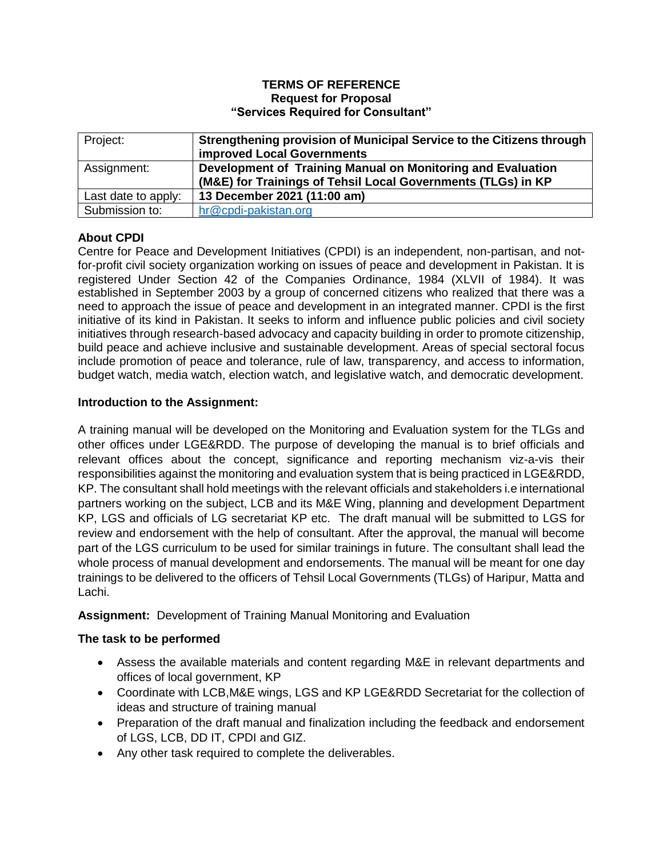#### **TERMS OF REFERENCE Request for Proposal "Services Required for Consultant"**

| Project:            | Strengthening provision of Municipal Service to the Citizens through<br>improved Local Governments |
|---------------------|----------------------------------------------------------------------------------------------------|
| Assignment:         | Development of Training Manual on Monitoring and Evaluation                                        |
|                     | (M&E) for Trainings of Tehsil Local Governments (TLGs) in KP                                       |
| Last date to apply: | 13 December 2021 (11:00 am)                                                                        |
| Submission to:      | hr@cpdi-pakistan.org                                                                               |

# **About CPDI**

Centre for Peace and Development Initiatives (CPDI) is an independent, non-partisan, and notfor-profit civil society organization working on issues of peace and development in Pakistan. It is registered Under Section 42 of the Companies Ordinance, 1984 (XLVII of 1984). It was established in September 2003 by a group of concerned citizens who realized that there was a need to approach the issue of peace and development in an integrated manner. CPDI is the first initiative of its kind in Pakistan. It seeks to inform and influence public policies and civil society initiatives through research-based advocacy and capacity building in order to promote citizenship, build peace and achieve inclusive and sustainable development. Areas of special sectoral focus include promotion of peace and tolerance, rule of law, transparency, and access to information, budget watch, media watch, election watch, and legislative watch, and democratic development.

### **Introduction to the Assignment:**

A training manual will be developed on the Monitoring and Evaluation system for the TLGs and other offices under LGE&RDD. The purpose of developing the manual is to brief officials and relevant offices about the concept, significance and reporting mechanism viz-a-vis their responsibilities against the monitoring and evaluation system that is being practiced in LGE&RDD, KP. The consultant shall hold meetings with the relevant officials and stakeholders i.e international partners working on the subject, LCB and its M&E Wing, planning and development Department KP, LGS and officials of LG secretariat KP etc. The draft manual will be submitted to LGS for review and endorsement with the help of consultant. After the approval, the manual will become part of the LGS curriculum to be used for similar trainings in future. The consultant shall lead the whole process of manual development and endorsements. The manual will be meant for one day trainings to be delivered to the officers of Tehsil Local Governments (TLGs) of Haripur, Matta and Lachi.

### **Assignment:** Development of Training Manual Monitoring and Evaluation

### **The task to be performed**

- Assess the available materials and content regarding M&E in relevant departments and offices of local government, KP
- Coordinate with LCB,M&E wings, LGS and KP LGE&RDD Secretariat for the collection of ideas and structure of training manual
- Preparation of the draft manual and finalization including the feedback and endorsement of LGS, LCB, DD IT, CPDI and GIZ.
- Any other task required to complete the deliverables.